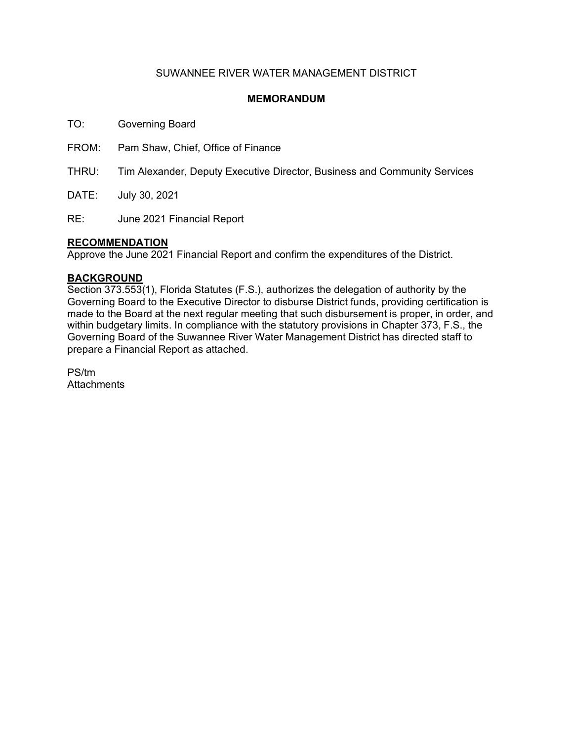## SUWANNEE RIVER WATER MANAGEMENT DISTRICT

### **MEMORANDUM**

TO: Governing Board

FROM: Pam Shaw, Chief, Office of Finance

THRU: Tim Alexander, Deputy Executive Director, Business and Community Services

DATE: July 30, 2021

RE: June 2021 Financial Report

### **RECOMMENDATION**

Approve the June 2021 Financial Report and confirm the expenditures of the District.

### **BACKGROUND**

Section 373.553(1), Florida Statutes (F.S.), authorizes the delegation of authority by the Governing Board to the Executive Director to disburse District funds, providing certification is made to the Board at the next regular meeting that such disbursement is proper, in order, and within budgetary limits. In compliance with the statutory provisions in Chapter 373, F.S., the Governing Board of the Suwannee River Water Management District has directed staff to prepare a Financial Report as attached.

PS/tm **Attachments**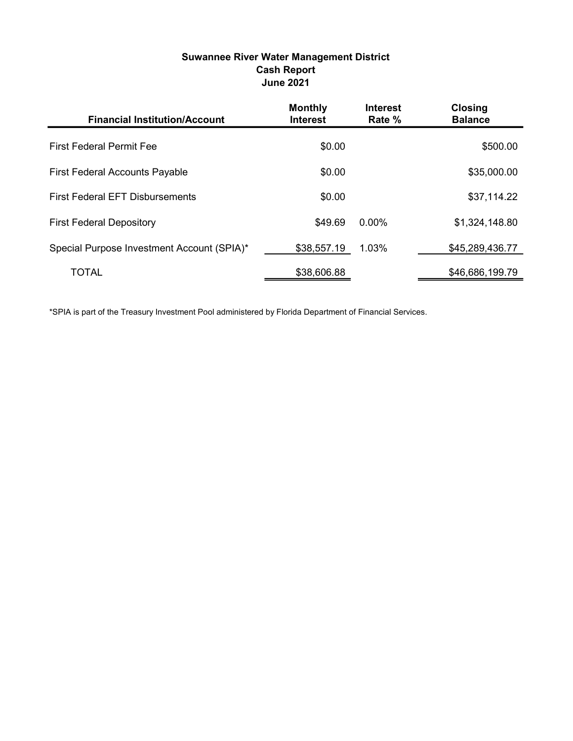# Suwannee River Water Management District Cash Report June 2021

| <b>Financial Institution/Account</b>       | <b>Monthly</b><br><b>Interest</b> | <b>Interest</b><br>Rate % | <b>Closing</b><br><b>Balance</b> |
|--------------------------------------------|-----------------------------------|---------------------------|----------------------------------|
| <b>First Federal Permit Fee</b>            | \$0.00                            |                           | \$500.00                         |
| <b>First Federal Accounts Payable</b>      | \$0.00                            |                           | \$35,000.00                      |
| <b>First Federal EFT Disbursements</b>     | \$0.00                            |                           | \$37,114.22                      |
| <b>First Federal Depository</b>            | \$49.69                           | $0.00\%$                  | \$1,324,148.80                   |
| Special Purpose Investment Account (SPIA)* | \$38,557.19                       | 1.03%                     | \$45,289,436.77                  |
| <b>TOTAL</b>                               | \$38,606.88                       |                           | \$46,686,199.79                  |

\*SPIA is part of the Treasury Investment Pool administered by Florida Department of Financial Services.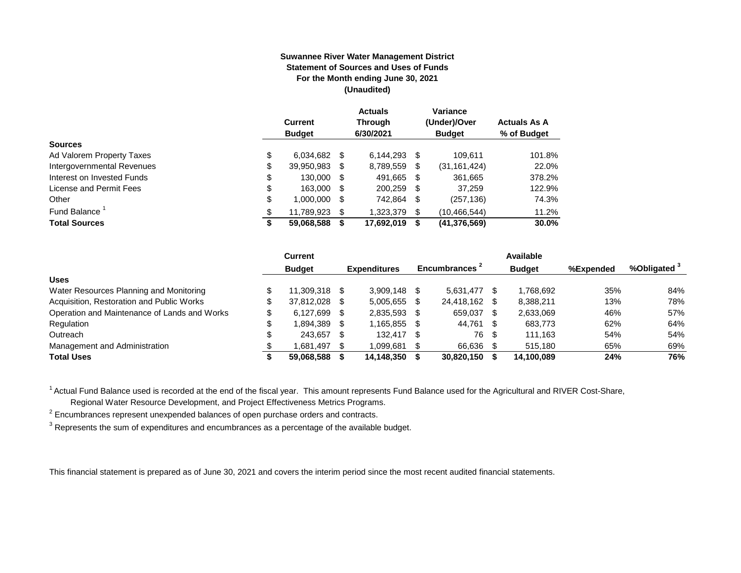#### **Suwannee River Water Management District Statement of Sources and Uses of Funds For the Month ending June 30, 2021 (Unaudited)**

|                                  | <b>Current</b><br><b>Budget</b> |      | <b>Actuals</b><br><b>Through</b><br>6/30/2021 |     | Variance<br>(Under)/Over<br><b>Budget</b> | <b>Actuals As A</b><br>% of Budget |
|----------------------------------|---------------------------------|------|-----------------------------------------------|-----|-------------------------------------------|------------------------------------|
| <b>Sources</b>                   |                                 |      |                                               |     |                                           |                                    |
| \$<br>Ad Valorem Property Taxes  | 6,034,682                       | S    | $6.144.293$ \$                                |     | 109.611                                   | 101.8%                             |
| \$<br>Intergovernmental Revenues | 39,950,983                      | S    | 8,789,559                                     | S   | (31, 161, 424)                            | 22.0%                              |
| \$<br>Interest on Invested Funds | 130.000                         | - \$ | 491,665 \$                                    |     | 361,665                                   | 378.2%                             |
| \$<br>License and Permit Fees    | 163,000                         | S    | 200,259                                       | -\$ | 37,259                                    | 122.9%                             |
| \$<br>Other                      | 1,000,000                       | S    | 742,864                                       | \$  | (257, 136)                                | 74.3%                              |
| Fund Balance <sup>1</sup><br>\$  | 11.789.923                      | S    | 1,323,379                                     | \$. | (10, 466, 544)                            | 11.2%                              |
| <b>Total Sources</b><br>\$       | 59,068,588                      |      | 17,692,019                                    | S   | (41, 376, 569)                            | 30.0%                              |

|                                              | Current         |      |                     |    |                           |      | Available     |           |                         |
|----------------------------------------------|-----------------|------|---------------------|----|---------------------------|------|---------------|-----------|-------------------------|
|                                              | <b>Budget</b>   |      | <b>Expenditures</b> |    | Encumbrances <sup>2</sup> |      | <b>Budget</b> | %Expended | %Obligated <sup>3</sup> |
| <b>Uses</b>                                  |                 |      |                     |    |                           |      |               |           |                         |
| Water Resources Planning and Monitoring      | 11.309.318 \$   |      | 3.909.148           |    | 5.631.477                 |      | 1.768.692     | 35%       | 84%                     |
| Acquisition, Restoration and Public Works    | 37.812.028 \$   |      | 5,005,655           |    | 24.418.162                |      | 8.388.211     | 13%       | 78%                     |
| Operation and Maintenance of Lands and Works | \$<br>6,127,699 | - \$ | 2,835,593           |    | 659,037                   | S    | 2,633,069     | 46%       | 57%                     |
| Regulation                                   | 1,894,389       |      | 1,165,855           |    | 44,761                    |      | 683,773       | 62%       | 64%                     |
| Outreach                                     | 243.657         | - \$ | 132.417             | -S | 76                        | - 5  | 111.163       | 54%       | 54%                     |
| Management and Administration                | 1.681.497       | - \$ | 1.099.681           |    | 66,636                    | - \$ | 515.180       | 65%       | 69%                     |
| <b>Total Uses</b>                            | 59.068.588      |      | 14,148,350          |    | 30,820,150                |      | 14.100.089    | 24%       | 76%                     |

<sup>1</sup> Actual Fund Balance used is recorded at the end of the fiscal year. This amount represents Fund Balance used for the Agricultural and RIVER Cost-Share,

Regional Water Resource Development, and Project Effectiveness Metrics Programs.

 $2$  Encumbrances represent unexpended balances of open purchase orders and contracts.

 $^3$  Represents the sum of expenditures and encumbrances as a percentage of the available budget.

This financial statement is prepared as of June 30, 2021 and covers the interim period since the most recent audited financial statements.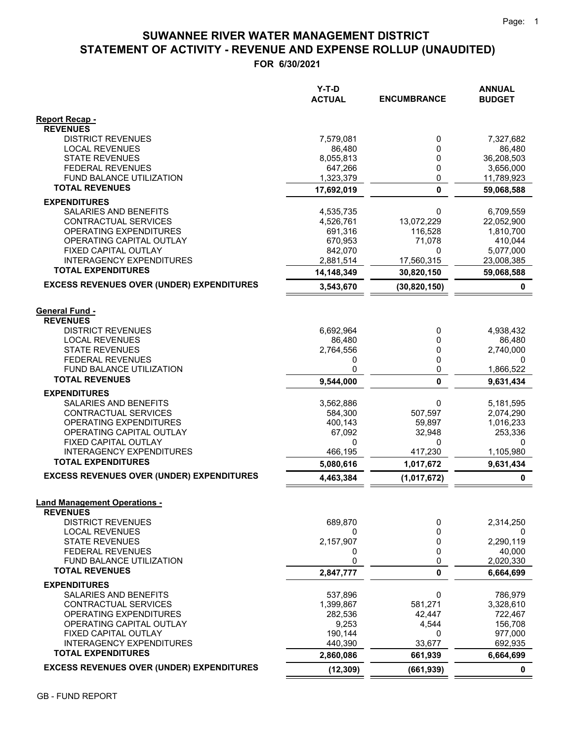# **STATEMENT OF ACTIVITY - REVENUE AND EXPENSE ROLLUP (UNAUDITED) SUWANNEE RIVER WATER MANAGEMENT DISTRICT**

**FOR 6/30/2021**

|                                                              | Y-T-D<br><b>ACTUAL</b> | <b>ENCUMBRANCE</b>   | <b>ANNUAL</b><br><b>BUDGET</b> |
|--------------------------------------------------------------|------------------------|----------------------|--------------------------------|
| Report Recap -                                               |                        |                      |                                |
| <b>REVENUES</b>                                              |                        |                      |                                |
| <b>DISTRICT REVENUES</b>                                     | 7,579,081              | 0                    | 7,327,682                      |
| <b>LOCAL REVENUES</b><br><b>STATE REVENUES</b>               | 86,480<br>8,055,813    | 0<br>0               | 86,480<br>36,208,503           |
| <b>FEDERAL REVENUES</b>                                      | 647,266                | 0                    | 3,656,000                      |
| <b>FUND BALANCE UTILIZATION</b>                              | 1,323,379              | 0                    | 11,789,923                     |
| <b>TOTAL REVENUES</b>                                        | 17,692,019             | $\mathbf{0}$         | 59,068,588                     |
| <b>EXPENDITURES</b>                                          |                        |                      |                                |
| SALARIES AND BENEFITS                                        | 4,535,735              | 0                    | 6,709,559                      |
| CONTRACTUAL SERVICES                                         | 4,526,761              | 13,072,229           | 22,052,900                     |
| OPERATING EXPENDITURES                                       | 691,316                | 116,528              | 1,810,700                      |
| OPERATING CAPITAL OUTLAY                                     | 670,953                | 71,078               | 410,044                        |
| FIXED CAPITAL OUTLAY                                         | 842,070                | 0                    | 5,077,000                      |
| <b>INTERAGENCY EXPENDITURES</b>                              | 2,881,514              | 17,560,315           | 23,008,385                     |
| <b>TOTAL EXPENDITURES</b>                                    | 14,148,349             | 30,820,150           | 59,068,588                     |
| <b>EXCESS REVENUES OVER (UNDER) EXPENDITURES</b>             | 3,543,670              | (30, 820, 150)       | 0                              |
| <b>General Fund -</b><br><b>REVENUES</b>                     |                        |                      |                                |
| <b>DISTRICT REVENUES</b>                                     | 6,692,964              | 0                    | 4,938,432                      |
| <b>LOCAL REVENUES</b>                                        | 86,480                 | 0                    | 86,480                         |
| <b>STATE REVENUES</b>                                        | 2,764,556              | 0                    | 2,740,000                      |
| <b>FEDERAL REVENUES</b>                                      | 0                      | 0                    | 0                              |
| FUND BALANCE UTILIZATION                                     | 0                      | 0                    | 1,866,522                      |
| <b>TOTAL REVENUES</b>                                        | 9,544,000              | $\mathbf{0}$         | 9,631,434                      |
| <b>EXPENDITURES</b>                                          |                        |                      |                                |
| SALARIES AND BENEFITS                                        | 3,562,886              | 0                    | 5,181,595                      |
| CONTRACTUAL SERVICES                                         | 584,300                | 507,597              | 2,074,290                      |
| OPERATING EXPENDITURES                                       | 400,143                | 59,897               | 1,016,233                      |
| OPERATING CAPITAL OUTLAY                                     | 67,092                 | 32,948               | 253,336                        |
| FIXED CAPITAL OUTLAY                                         | 0                      | 0                    | 0                              |
| <b>INTERAGENCY EXPENDITURES</b><br><b>TOTAL EXPENDITURES</b> | 466,195<br>5,080,616   | 417,230<br>1,017,672 | 1,105,980<br>9,631,434         |
| <b>EXCESS REVENUES OVER (UNDER) EXPENDITURES</b>             | 4,463,384              | (1,017,672)          | $\mathbf 0$                    |
|                                                              |                        |                      |                                |
| <b>Land Management Operations -</b><br><b>REVENUES</b>       |                        |                      |                                |
| <b>DISTRICT REVENUES</b>                                     | 689,870                | 0                    | 2,314,250                      |
| <b>LOCAL REVENUES</b>                                        | 0                      | 0                    | 0                              |
| <b>STATE REVENUES</b>                                        | 2,157,907              | 0                    | 2,290,119                      |
| <b>FEDERAL REVENUES</b>                                      | 0                      | 0                    | 40,000                         |
| FUND BALANCE UTILIZATION<br><b>TOTAL REVENUES</b>            | 0                      | 0                    | 2,020,330                      |
|                                                              | 2,847,777              | 0                    | 6,664,699                      |
| <b>EXPENDITURES</b>                                          |                        |                      |                                |
| SALARIES AND BENEFITS                                        | 537,896                | 0                    | 786,979                        |
| CONTRACTUAL SERVICES                                         | 1,399,867              | 581,271              | 3,328,610                      |
| OPERATING EXPENDITURES<br>OPERATING CAPITAL OUTLAY           | 282,536<br>9,253       | 42,447<br>4,544      | 722,467<br>156,708             |
| FIXED CAPITAL OUTLAY                                         | 190,144                | 0                    | 977,000                        |
| <b>INTERAGENCY EXPENDITURES</b>                              | 440,390                | 33,677               | 692,935                        |
| <b>TOTAL EXPENDITURES</b>                                    | 2,860,086              | 661,939              | 6,664,699                      |
| <b>EXCESS REVENUES OVER (UNDER) EXPENDITURES</b>             | (12, 309)              | (661, 939)           | 0                              |
|                                                              |                        |                      |                                |